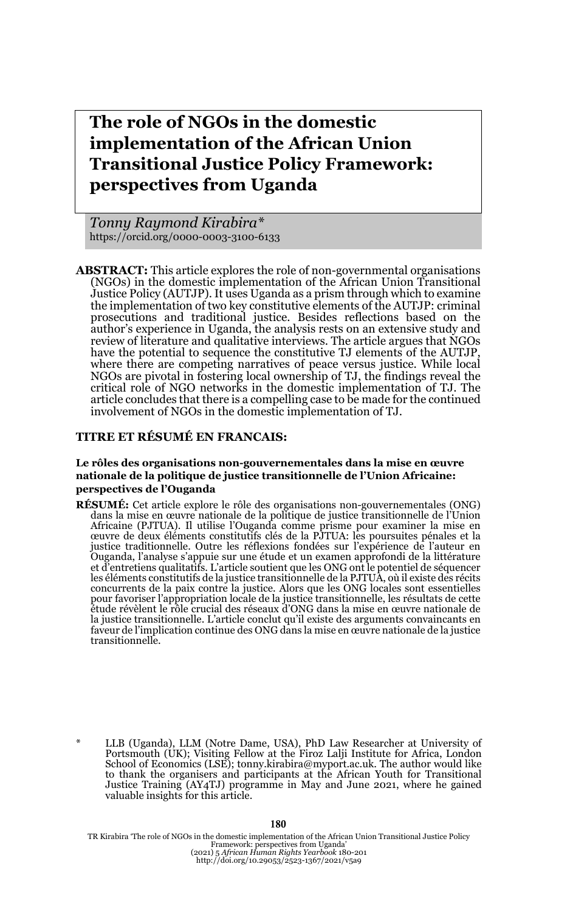# **The role of NGOs in the domestic implementation of the African Union Transitional Justice Policy Framework: perspectives from Uganda**

*Tonny Raymond Kirabira\** https://orcid.org/0000-0003-3100-6133

**ABSTRACT:** This article explores the role of non-governmental organisations (NGOs) in the domestic implementation of the African Union Transitional Justice Policy (AUTJP). It uses Uganda as a prism through which to examine the implementation of two key constitutive elements of the AUTJP: criminal prosecutions and traditional justice. Besides reflections based on the author's experience in Uganda, the analysis rests on an extensive study and review of literature and qualitative interviews. The article argues that NGOs have the potential to sequence the constitutive TJ elements of the AUTJP, where there are competing narratives of peace versus justice. While local NGOs are pivotal in fostering local ownership of TJ, the findings reveal the critical role of NGO networks in the domestic implementation of TJ. The article concludes that there is a compelling case to be made for the continued involvement of NGOs in the domestic implementation of TJ.

#### **TITRE ET RÉSUMÉ EN FRANCAIS:**

#### **Le rôles des organisations non-gouvernementales dans la mise en œuvre nationale de la politique de justice transitionnelle de l'Union Africaine: perspectives de l'Ouganda**

**RÉSUMÉ:** Cet article explore le rôle des organisations non-gouvernementales (ONG) dans la mise en œuvre nationale de la politique de justice transitionnelle de l'Union Africaine (PJTUA). Il utilise l'Ouganda comme prisme pour examiner la mise en œuvre de deux éléments constitutifs clés de la PJTUA: les poursuites pénales et la justice traditionnelle. Outre les réflexions fondées sur l'expérience de l'auteur en Ouganda, l'analyse s'appuie sur une étude et un examen approfondi de la littérature et d'entretiens qualitatifs. L'article soutient que les ONG ont le potentiel de séquencer<br>les éléments constitutifs de la justice transitionnelle de la PJTUA, où il existe des récits<br>concurrents de la paix contre la justic pour favoriser l'appropriation locale de la justice transitionnelle, les résultats de cette étude révèlent le rôle crucial des réseaux d'ONG dans la mise en œuvre nationale de la justice transitionnelle. L'article conclut qu'il existe des arguments convaincants en faveur de l'implication continue des ONG dans la mise en œuvre nationale de la justice transitionnelle.

TR Kirabira 'The role of NGOs in the domestic implementation of the African Union Transitional Justice Policy<br>Framework: perspectives from Uganda'<br>(2021) 5 African Human Rights Yearbook 180-201<br>http://doi.org/10.29053/2523

#### **180**

<sup>\*</sup> LLB (Uganda), LLM (Notre Dame, USA), PhD Law Researcher at University of Portsmouth (UK); Visiting Fellow at the Firoz Lalji Institute for Africa, London School of Economics (LSE); tonny.kirabira@myport.ac.uk. The author would like to thank the organisers and participants at the African Youth for Transitional Justice Training (AY4TJ) programme in May and June 2021, where he gained valuable insights for this article.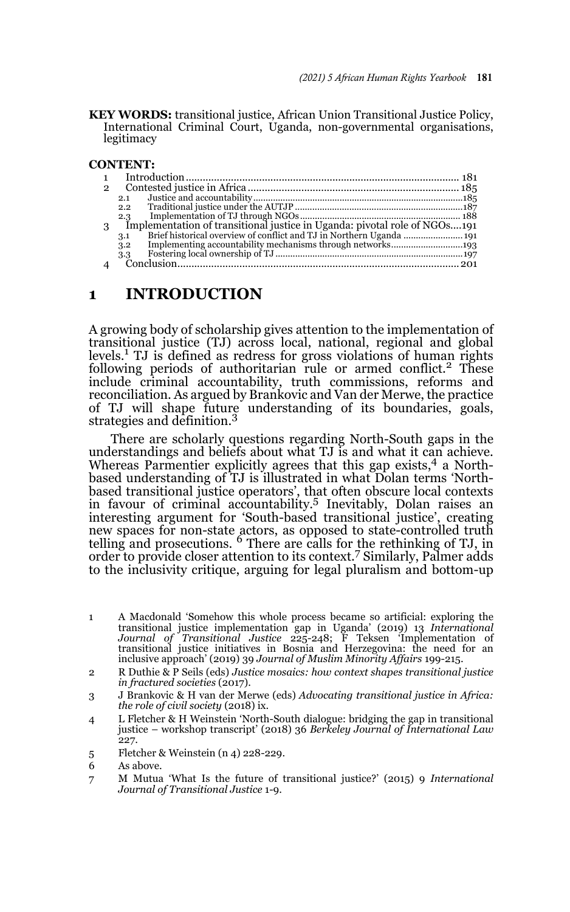**KEY WORDS:** transitional justice, African Union Transitional Justice Policy, International Criminal Court, Uganda, non-governmental organisations, legitimacy

#### **CONTENT:**

| $\mathbf{2}$ |                                                                           |  |
|--------------|---------------------------------------------------------------------------|--|
|              | 2.1                                                                       |  |
|              | 2.2                                                                       |  |
|              | 2.3                                                                       |  |
| 3            | Implementation of transitional justice in Uganda: pivotal role of NGOs191 |  |
|              | 3.1                                                                       |  |
|              | 3.2                                                                       |  |
|              | 3.3                                                                       |  |
|              |                                                                           |  |

#### **1 INTRODUCTION**

A growing body of scholarship gives attention to the implementation of transitional justice (TJ) across local, national, regional and global levels.<sup>1</sup> TJ is defined as redress for gross violations of human rights following periods of authoritarian rule or armed conflict.<sup>2</sup> These include criminal accountability, truth commissions, reforms and reconciliation. As argued by Brankovic and Van der Merwe, the practice of TJ will shape future understanding of its boundaries, goals, strategies and definition.<sup>3</sup>

There are scholarly questions regarding North-South gaps in the understandings and beliefs about what TJ is and what it can achieve. Whereas Parmentier explicitly agrees that this gap exists,  $4$  a Northbased understanding of TJ is illustrated in what Dolan terms 'Northbased transitional justice operators', that often obscure local contexts in favour of criminal accountability.5 Inevitably, Dolan raises an interesting argument for 'South-based transitional justice', creating new spaces for non-state actors, as opposed to state-controlled truth<br>telling and prosecutions. <sup>6</sup> There are calls for the rethinking of TJ, in order to provide closer attention to its context.<sup>7</sup> Similarly, Palmer adds to the inclusivity critique, arguing for legal pluralism and bottom-up

- 1 A Macdonald 'Somehow this whole process became so artificial: exploring the transitional justice implementation gap in Uganda' (2019) 13 *International Journal of Transitional Justice* 225-248; F Teksen 'Implementation of transitional justice initiatives in Bosnia and Herzegovina: the need for an inclusive approach' (2019) 39 *Journal of Muslim Minority Affairs* 199-215.
- 2 R Duthie & P Seils (eds) *Justice mosaics: how context shapes transitional justice in fractured societies* (2017).
- 3 J Brankovic & H van der Merwe (eds) *Advocating transitional justice in Africa: the role of civil society* (2018) ix.
- 4 L Fletcher & H Weinstein 'North-South dialogue: bridging the gap in transitional justice – workshop transcript' (2018) 36 *Berkeley Journal of International Law* 227.
- 5 Fletcher & Weinstein (n 4) 228-229.

<sup>6</sup> As above.

<sup>7</sup> M Mutua 'What Is the future of transitional justice?' (2015) 9 *International Journal of Transitional Justice* 1-9.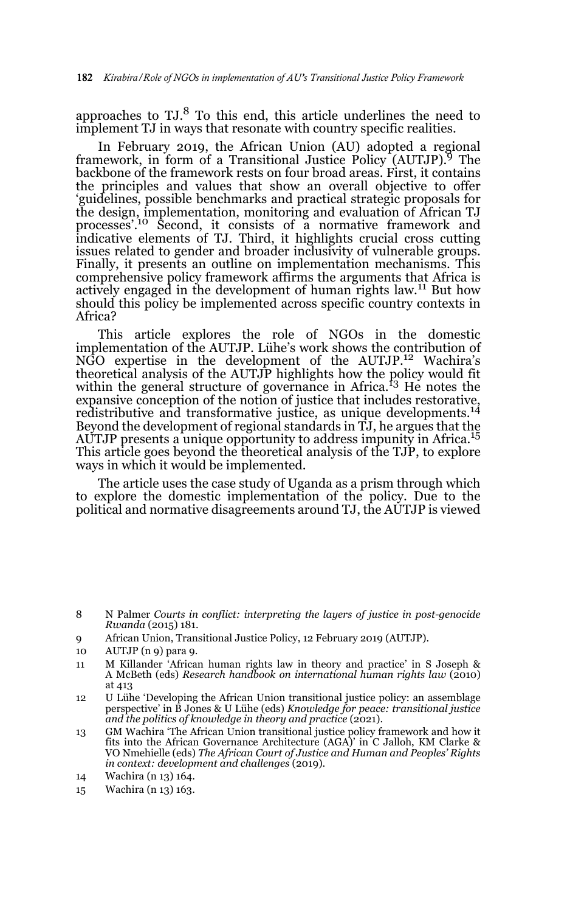approaches to  $TJ<sup>8</sup>$  To this end, this article underlines the need to implement TJ in ways that resonate with country specific realities.

In February 2019, the African Union (AU) adopted a regional framework, in form of a Transitional Justice Policy  $(AUTJP)$ .<sup>9</sup> The backbone of the framework rests on four broad areas. First, it contains the principles and values that show an overall objective to offer 'guidelines, possible benchmarks and practical strategic proposals for the design, implementation, monitoring and evaluation of African TJ<br>processes'.<sup>10</sup> Second, it consists of a normative framework and indicative elements of TJ. Third, it highlights crucial cross cutting issues related to gender and broader inclusivity of vulnerable groups. Finally, it presents an outline on implementation mechanisms. This comprehensive policy framework affirms the arguments that Africa is actively engaged in the development of human rights law.<sup>11</sup> But how should this policy be implemented across specific country contexts in Africa?

This article explores the role of NGOs in the domestic implementation of the AUTJP. Lühe's work shows the contribution of NGO expertise in the development of the AUTJP.12 Wachira's theoretical analysis of the AUTJP highlights how the policy would fit within the general structure of governance in Africa.<sup>13</sup> He notes the expansive conception of the notion of justice that includes restorative, redistributive and transformative justice, as unique developments.14 Beyond the development of regional standards in TJ, he argues that the AUTJP presents a unique opportunity to address impunity in Africa.<sup>15</sup> This article goes beyond the theoretical analysis of the TJP, to explore ways in which it would be implemented.

The article uses the case study of Uganda as a prism through which to explore the domestic implementation of the policy. Due to the political and normative disagreements around TJ, the AUTJP is viewed

- 9 African Union, Transitional Justice Policy, 12 February 2019 (AUTJP).
- 10 AUTJP (n 9) para 9.
- 11 M Killander 'African human rights law in theory and practice' in S Joseph & A McBeth (eds) *Research handbook on international human rights law* (2010) at 413
- 12 U Lühe 'Developing the African Union transitional justice policy: an assemblage perspective' in B Jones & U Lühe (eds) *Knowledge for peace: transitional justice* and the politics of knowledge in theory and practice (2021).
- 13 GM Wachira 'The African Union transitional justice policy framework and how it fits into the African Governance Architecture (AGA)' in C Jalloh, KM Clarke & VO Nmehielle (eds) *The African Court of Justice and Human and Peoples' Rights in context: development and challenges* (2019).
- 14 Wachira (n 13) 164.
- 15 Wachira (n 13) 163.

<sup>8</sup> N Palmer *Courts in conflict: interpreting the layers of justice in post-genocide Rwanda* (2015) 181.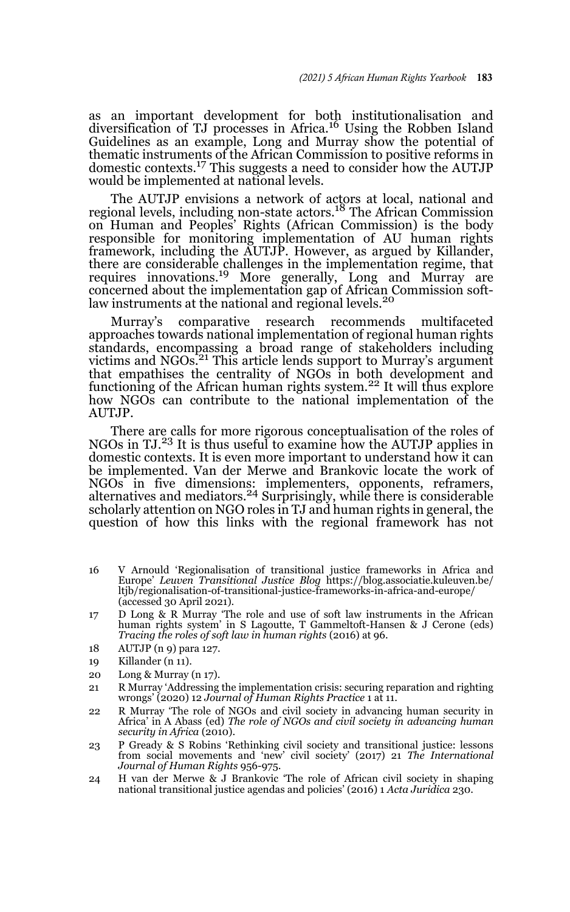as an important development for both institutionalisation and diversification of TJ processes in Africa.16 Using the Robben Island Guidelines as an example, Long and Murray show the potential of thematic instruments of the African Commission to positive reforms in domestic contexts.17 This suggests a need to consider how the AUTJP would be implemented at national levels.

The AUTJP envisions a network of actors at local, national and regional levels, including non-state actors.18 The African Commission on Human and Peoples' Rights (African Commission) is the body responsible for monitoring implementation of AU human rights framework, including the AUTJP. However, as argued by Killander, there are considerable challenges in the implementation regime, that requires innovations.<sup>19</sup> More generally, Long and Murray are concerned about the implementation gap of African Commission softlaw instruments at the national and regional levels.<sup>20</sup>

Murray's comparative research recommends multifaceted approaches towards national implementation of regional human rights standards, encompassing a broad range of stakeholders including victims and NGOs.<sup>21</sup> This article lends support to Murray's argument that empathises the centrality of NGOs in both development and functioning of the African human rights system.<sup>22</sup> It will thus explore how NGOs can contribute to the national implementation of the AUTJP.

There are calls for more rigorous conceptualisation of the roles of NGOs in TJ.23 It is thus useful to examine how the AUTJP applies in domestic contexts. It is even more important to understand how it can be implemented. Van der Merwe and Brankovic locate the work of NGOs in five dimensions: implementers, opponents, reframers,<br>alternatives and mediators.<sup>24</sup> Surprisingly, while there is considerable scholarly attention on NGO roles in TJ and human rights in general, the question of how this links with the regional framework has not

- 16 V Arnould 'Regionalisation of transitional justice frameworks in Africa and Europe' *Leuven Transitional Justice Blog* https://blog.associatie.kuleuven.be/ ltjb/regionalisation-of-transitional-justice-frameworks-in-africa-and-europe/ (accessed 30 April 2021).
- 17 D Long & R Murray 'The role and use of soft law instruments in the African human rights system' in S Lagoutte, T Gammeltoft-Hansen & J Cerone (eds) *Tracing the roles of soft law in human rights* (2016) at 96.
- 18 AUTJP (n 9) para 127.
- 19 Killander (n 11).
- 20 Long & Murray (n 17).
- 21 R Murray 'Addressing the implementation crisis: securing reparation and righting wrongs' (2020) 12 *Journal of Human Rights Practice* 1 at 11.
- 22 R Murray 'The role of NGOs and civil society in advancing human security in Africa' in A Abass (ed) *The role of NGOs and civil society in advancing human security in Africa* (2010).
- 23 P Gready & S Robins 'Rethinking civil society and transitional justice: lessons from social movements and 'new' civil society' (2017) 21 *The International Journal of Human Rights* 956-975.
- 24 H van der Merwe & J Brankovic 'The role of African civil society in shaping national transitional justice agendas and policies' (2016) 1 *Acta Juridica* 230.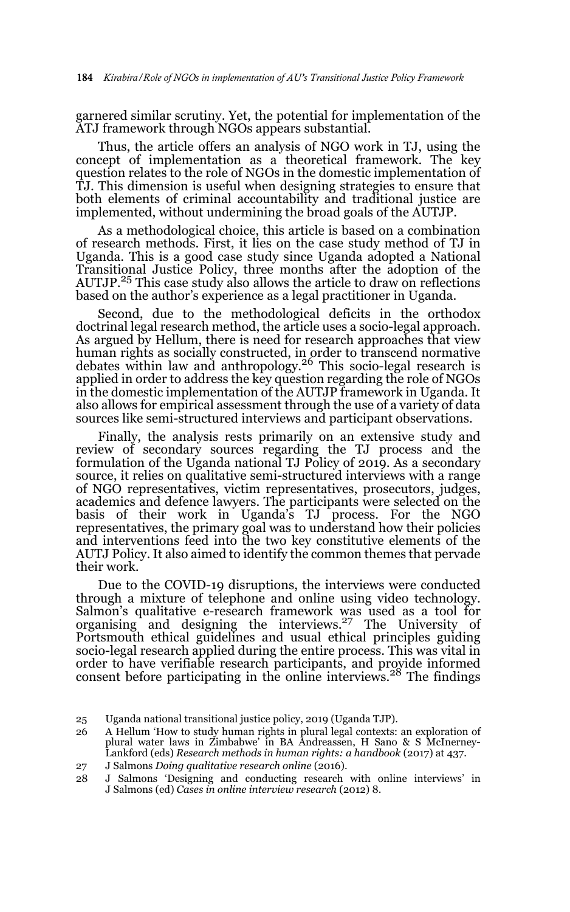garnered similar scrutiny. Yet, the potential for implementation of the ATJ framework through NGOs appears substantial.

Thus, the article offers an analysis of NGO work in TJ, using the concept of implementation as a theoretical framework. The key question relates to the role of NGOs in the domestic implementation of TJ. This dimension is useful when designing strategies to ensure that both elements of criminal accountability and traditional justice are implemented, without undermining the broad goals of the AUTJP.

As a methodological choice, this article is based on a combination of research methods. First, it lies on the case study method of TJ in Uganda. This is a good case study since Uganda adopted a National Transitional Justice Policy, three months after the adoption of the AUTJP.25 This case study also allows the article to draw on reflections based on the author's experience as a legal practitioner in Uganda.

Second, due to the methodological deficits in the orthodox doctrinal legal research method, the article uses a socio-legal approach. As argued by Hellum, there is need for research approaches that view human rights as socially constructed, in order to transcend normative debates within law and anthropology.26 This socio-legal research is applied in order to address the key question regarding the role of NGOs in the domestic implementation of the AUTJP framework in Uganda. It also allows for empirical assessment through the use of a variety of data sources like semi-structured interviews and participant observations.

Finally, the analysis rests primarily on an extensive study and review of secondary sources regarding the TJ process and the formulation of the Uganda national TJ Policy of 2019. As a secondary source, it relies on qualitative semi-structured interviews with a range of NGO representatives, victim representatives, prosecutors, judges, academics and defence lawyers. The participants were selected on the basis of their work in Uganda's TJ process. For the NGO representatives, the primary goal was to understand how their policies and interventions feed into the two key constitutive elements of the AUTJ Policy. It also aimed to identify the common themes that pervade their work.

Due to the COVID-19 disruptions, the interviews were conducted through a mixture of telephone and online using video technology. Salmon's qualitative e-research framework was used as a tool for organising and designing the interviews.27 The University of Portsmouth ethical guidelines and usual ethical principles guiding socio-legal research applied during the entire process. This was vital in order to have verifiable research participants, and provide informed consent before participating in the online interviews.<sup>28</sup> The findings

<sup>25</sup> Uganda national transitional justice policy, 2019 (Uganda TJP).

<sup>26</sup> A Hellum 'How to study human rights in plural legal contexts: an exploration of plural water laws in Zimbabwe' in BA Andreassen, H Sano & S McInerney-Lankford (eds) *Research methods in human rights: a handbook* (2017) at 437.

<sup>27</sup> J Salmons *Doing qualitative research online* (2016).

<sup>28</sup> J Salmons 'Designing and conducting research with online interviews' in J Salmons (ed) *Cases in online interview research* (2012) 8.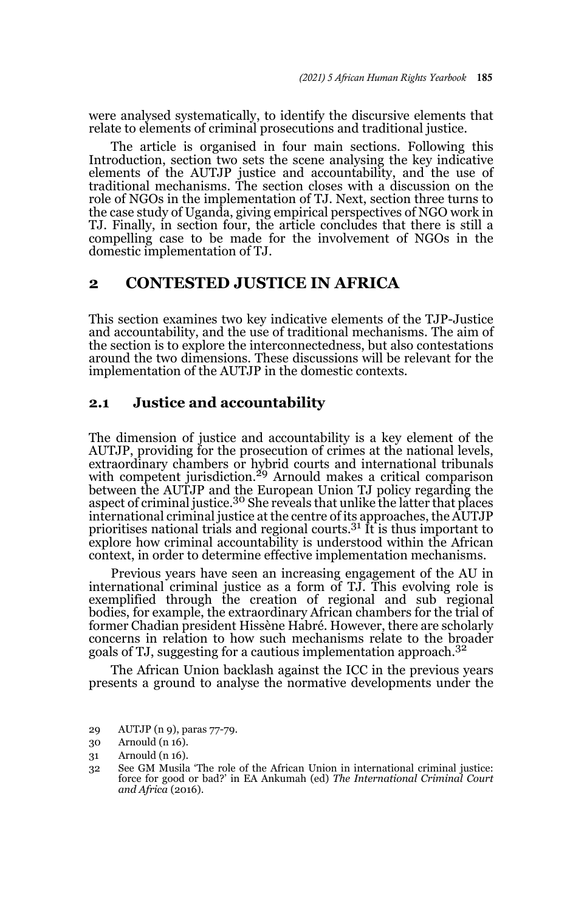were analysed systematically, to identify the discursive elements that relate to elements of criminal prosecutions and traditional justice.

The article is organised in four main sections. Following this Introduction, section two sets the scene analysing the key indicative elements of the AUTJP justice and accountability, and the use of traditional mechanisms. The section closes with a discussion on the role of NGOs in the implementation of TJ. Next, section three turns to the case study of Uganda, giving empirical perspectives of NGO work in TJ. Finally, in section four, the article concludes that there is still a compelling case to be made for the involvement of NGOs in the domestic implementation of TJ.

#### **2 CONTESTED JUSTICE IN AFRICA**

This section examines two key indicative elements of the TJP-Justice and accountability, and the use of traditional mechanisms. The aim of the section is to explore the interconnectedness, but also contestations around the two dimensions. These discussions will be relevant for the implementation of the AUTJP in the domestic contexts.

#### **2.1 Justice and accountability**

The dimension of justice and accountability is a key element of the AUTJP, providing for the prosecution of crimes at the national levels, extraordinary chambers or hybrid courts and international tribunals with competent jurisdiction.<sup>29</sup> Arnould makes a critical comparison between the AUTJP and the European Union TJ policy regarding the aspect of criminal justice.<sup>30</sup> She reveals that unlike the latter that places international criminal justice at the centre of its approaches, the AUTJP prioritises national trials and regional courts.31 It is thus important to explore how criminal accountability is understood within the African context, in order to determine effective implementation mechanisms.

Previous years have seen an increasing engagement of the AU in international criminal justice as a form of TJ. This evolving role is exemplified through the creation of regional and sub regional bodies, for example, the extraordinary African chambers for the trial of former Chadian president Hissène Habré. However, there are scholarly concerns in relation to how such mechanisms relate to the broader goals of TJ, suggesting for a cautious implementation approach.<sup>32</sup>

The African Union backlash against the ICC in the previous years presents a ground to analyse the normative developments under the

<sup>29</sup> AUTJP (n 9), paras 77-79.

<sup>30</sup> Arnould (n 16).

<sup>31</sup> Arnould (n 16).

<sup>32</sup> See GM Musila 'The role of the African Union in international criminal justice: force for good or bad?' in EA Ankumah (ed) *The International Criminal Court and Africa* (2016).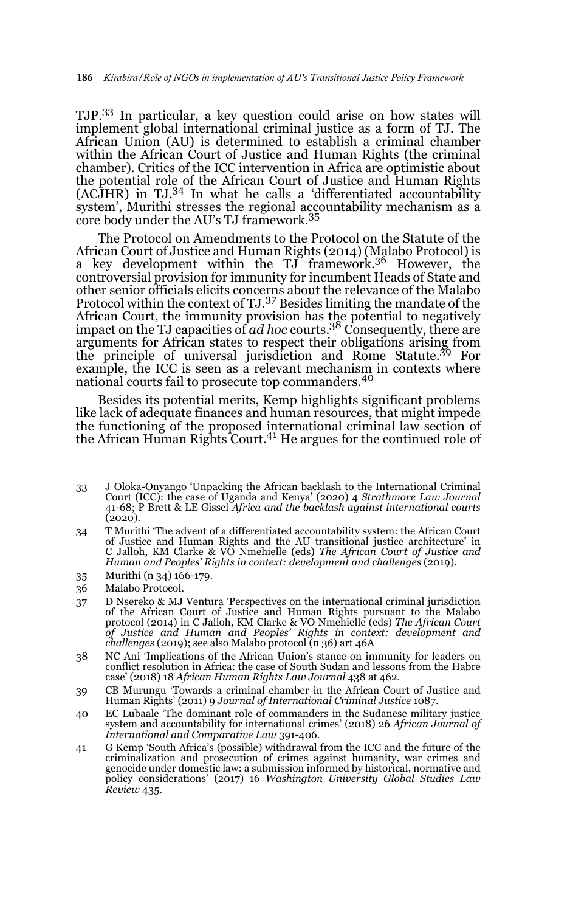TJP.33 In particular, a key question could arise on how states will implement global international criminal justice as a form of TJ. The African Union (AU) is determined to establish a criminal chamber within the African Court of Justice and Human Rights (the criminal chamber). Critics of the ICC intervention in Africa are optimistic about the potential role of the African Court of Justice and Human Rights (ACJHR) in TJ.34 In what he calls a 'differentiated accountability system', Murithi stresses the regional accountability mechanism as a core body under the AU's TJ framework.<sup>35</sup>

The Protocol on Amendments to the Protocol on the Statute of the African Court of Justice and Human Rights (2014) (Malabo Protocol) is a key development within the  $TJ$  framework.<sup>36</sup> However, the controversial provision for immunity for incumbent Heads of State and other senior officials elicits concerns about the relevance of the Malabo Protocol within the context of TJ.37 Besides limiting the mandate of the African Court, the immunity provision has the potential to negatively impact on the TJ capacities of *ad hoc* courts.38 Consequently, there are arguments for African states to respect their obligations arising from the principle of universal jurisdiction and Rome Statute.<sup>39</sup> For example, the ICC is seen as a relevant mechanism in contexts where national courts fail to prosecute top commanders.<sup>40</sup>

Besides its potential merits, Kemp highlights significant problems like lack of adequate finances and human resources, that might impede the functioning of the proposed international criminal law section of the African Human Rights Court.<sup>41</sup> He argues for the continued role of

- 33 J Oloka-Onyango 'Unpacking the African backlash to the International Criminal Court (ICC): the case of Uganda and Kenya' (2020) 4 *Strathmore Law Journal* 41-68; P Brett & LE Gissel *Africa and the backlash against international courts*  $(2020).$
- 34 T Murithi 'The advent of a differentiated accountability system: the African Court of Justice and Human Rights and the AU transitional justice architecture' in C Jalloh, KM Clarke & VO Nmehielle (eds) *The African Court of Justice and Human and Peoples' Rights in context: development and challenges* (2019).
- 35 Murithi (n 34) 166-179.
- 36 Malabo Protocol.
- 37 D Nsereko & MJ Ventura 'Perspectives on the international criminal jurisdiction of the African Court of Justice and Human Rights pursuant to the Malabo protocol (2014) in C Jalloh, KM Clarke & VO Nmehielle (eds) *The African Court of Justice and Human and Peoples' Rights in context: development and challenges* (2019); see also Malabo protocol (n 36) art 46A
- 38 NC Ani 'Implications of the African Union's stance on immunity for leaders on conflict resolution in Africa: the case of South Sudan and lessons from the Habre case' (2018) 18 *African Human Rights Law Journal* 438 at 462.
- 39 CB Murungu 'Towards a criminal chamber in the African Court of Justice and Human Rights' (2011) 9 *Journal of International Criminal Justice* 1087.
- 40 EC Lubaale 'The dominant role of commanders in the Sudanese military justice system and accountability for international crimes' (2018) 26 *African Journal of International and Comparative Law* 391-406.
- 41 G Kemp 'South Africa's (possible) withdrawal from the ICC and the future of the criminalization and prosecution of crimes against humanity, war crimes and genocide under domestic law: a submission informed by historical, normative and policy considerations' (2017) 16 *Washington University Global Studies Law Review* 435.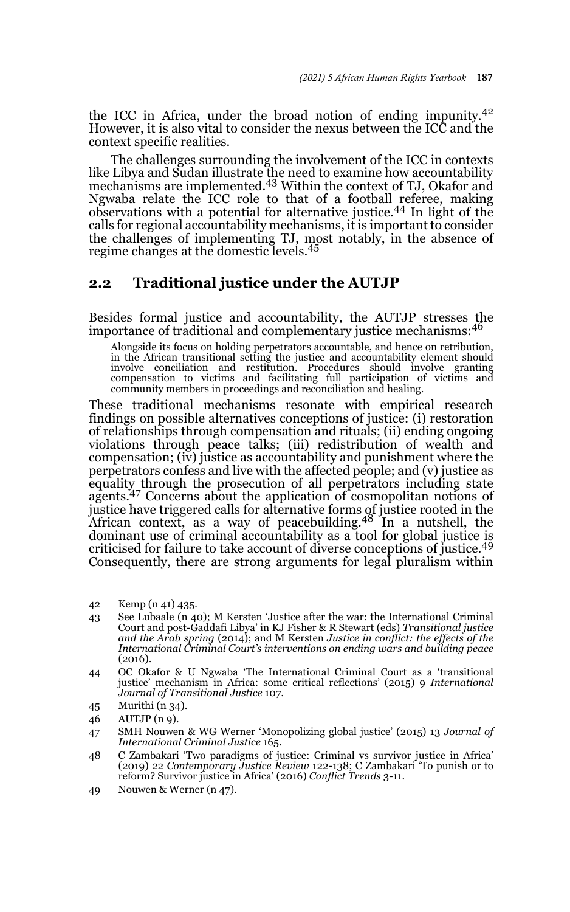the ICC in Africa, under the broad notion of ending impunity.<sup>42</sup> However, it is also vital to consider the nexus between the ICC and the context specific realities.

The challenges surrounding the involvement of the ICC in contexts like Libya and Sudan illustrate the need to examine how accountability mechanisms are implemented.43 Within the context of TJ, Okafor and Ngwaba relate the ICC role to that of a football referee, making observations with a potential for alternative justice.44 In light of the calls for regional accountability mechanisms, it is important to consider the challenges of implementing TJ, most notably, in the absence of regime changes at the domestic levels.<sup>45</sup>

#### **2.2 Traditional justice under the AUTJP**

Besides formal justice and accountability, the AUTJP stresses the importance of traditional and complementary justice mechanisms:<sup>46</sup>

Alongside its focus on holding perpetrators accountable, and hence on retribution, in the African transitional setting the justice and accountability element should involve conciliation and restitution. Procedures should involve granting compensation to victims and facilitating full participation of victims and community members in proceedings and reconciliation and healing.

These traditional mechanisms resonate with empirical research findings on possible alternatives conceptions of justice: (i) restoration of relationships through compensation and rituals; (ii) ending ongoing violations through peace talks; (iii) redistribution of wealth and compensation; (iv) justice as accountability and punishment where the perpetrators confess and live with the affected people; and (v) justice as equality through the prosecution of all perpetrators including state agents.47 Concerns about the application of cosmopolitan notions of justice have triggered calls for alternative forms of justice rooted in the African context, as a way of peacebuilding.48 In a nutshell, the dominant use of criminal accountability as a tool for global justice is criticised for failure to take account of diverse conceptions of justice.<sup>49</sup> Consequently, there are strong arguments for legal pluralism within

- 42 Kemp (n 41) 435.
- 43 See Lubaale (n 40); M Kersten 'Justice after the war: the International Criminal Court and post-Gaddafi Libya' in KJ Fisher & R Stewart (eds) *Transitional justice and the Arab spring* (2014); and M Kersten *Justice in conflict: the effects of the International Criminal Court's interventions on ending wars and building peace* (2016).
- 44 OC Okafor & U Ngwaba 'The International Criminal Court as a 'transitional justice' mechanism in Africa: some critical reflections' (2015) 9 *International Journal of Transitional Justice* 107.
- 45 Murithi (n 34).
- 46 AUTJP (n 9).
- 47 SMH Nouwen & WG Werner 'Monopolizing global justice' (2015) 13 *Journal of International Criminal Justice* 165.
- 48 C Zambakari 'Two paradigms of justice: Criminal vs survivor justice in Africa' (2019) 22 *Contemporary Justice Review* 122-138; C Zambakari 'To punish or to reform? Survivor justice in Africa' (2016) *Conflict Trends* 3-11.
- 49 Nouwen & Werner (n 47).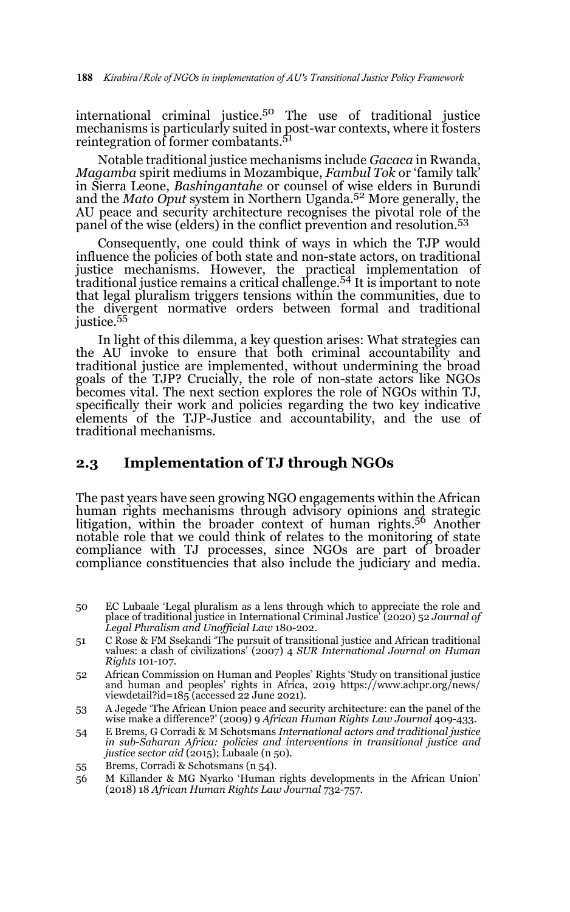international criminal justice.50 The use of traditional justice mechanisms is particularly suited in post-war contexts, where it fosters reintegration of former combatants.<sup>51</sup>

Notable traditional justice mechanisms include *Gacaca* in Rwanda, *Magamba* spirit mediums in Mozambique, *Fambul Tok* or 'family talk' in Sierra Leone, *Bashingantahe* or counsel of wise elders in Burundi and the *Mato Oput* system in Northern Uganda.52 More generally, the AU peace and security architecture recognises the pivotal role of the panel of the wise (elders) in the conflict prevention and resolution.<sup>53</sup>

Consequently, one could think of ways in which the TJP would influence the policies of both state and non-state actors, on traditional justice mechanisms. However, the practical implementation of traditional justice remains a critical challenge.54 It is important to note that legal pluralism triggers tensions within the communities, due to the divergent normative orders between formal and traditional justice.55

In light of this dilemma, a key question arises: What strategies can the AU invoke to ensure that both criminal accountability and traditional justice are implemented, without undermining the broad goals of the TJP? Crucially, the role of non-state actors like NGOs becomes vital. The next section explores the role of NGOs within TJ, specifically their work and policies regarding the two key indicative elements of the TJP-Justice and accountability, and the use of traditional mechanisms.

### **2.3 Implementation of TJ through NGOs**

The past years have seen growing NGO engagements within the African human rights mechanisms through advisory opinions and strategic litigation, within the broader context of human rights.<sup>56</sup> Another notable role that we could think of relates to the monitoring of state compliance with TJ processes, since NGOs are part of broader compliance constituencies that also include the judiciary and media.

- 50 EC Lubaale 'Legal pluralism as a lens through which to appreciate the role and place of traditional justice in International Criminal Justice' (2020) 52 *Journal of Legal Pluralism and Unofficial Law* 180-202.
- 51 C Rose & FM Ssekandi 'The pursuit of transitional justice and African traditional values: a clash of civilizations' (2007) 4 *SUR International Journal on Human Rights* 101-107.
- 52 African Commission on Human and Peoples' Rights 'Study on transitional justice and human and peoples' rights in Africa, 2019 https://www.achpr.org/news/ viewdetail?id= $185$  (accessed 22 June 2021).
- 53 A Jegede 'The African Union peace and security architecture: can the panel of the wise make a difference?' (2009) 9 *African Human Rights Law Journal* 409-433.
- 54 E Brems, G Corradi & M Schotsmans *International actors and traditional justice in sub-Saharan Africa: policies and interventions in transitional justice and justice sector aid* (2015); Lubaale (n 50).
- 55 Brems, Corradi & Schotsmans (n 54).
- 56 M Killander & MG Nyarko 'Human rights developments in the African Union' (2018) 18 *African Human Rights Law Journal* 732-757.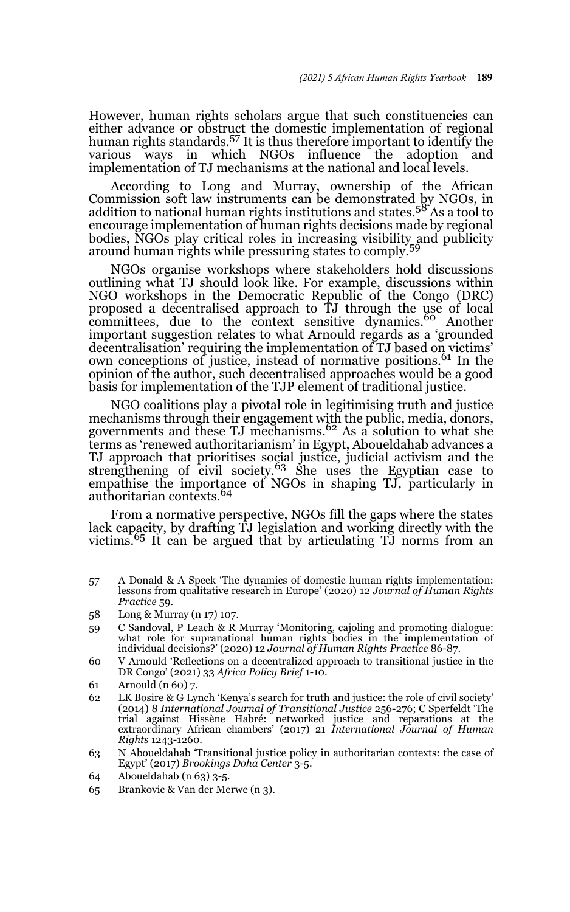However, human rights scholars argue that such constituencies can either advance or obstruct the domestic implementation of regional human rights standards.<sup>57</sup> It is thus therefore important to identify the various ways in which NGOs influence the adoption and implementation of TJ mechanisms at the national and local levels.

According to Long and Murray, ownership of the African Commission soft law instruments can be demonstrated by NGOs, in addition to national human rights institutions and states.<sup>58</sup> As a tool to encourage implementation of human rights decisions made by regional bodies, NGOs play critical roles in increasing visibility and publicity around human rights while pressuring states to comply.<sup>59</sup>

NGOs organise workshops where stakeholders hold discussions outlining what TJ should look like. For example, discussions within NGO workshops in the Democratic Republic of the Congo (DRC) proposed a decentralised approach to TJ through the use of local<br>committees, due to the context sensitive dynamics.<sup>60</sup> Another important suggestion relates to what Arnould regards as a 'grounded decentralisation' requiring the implementation of TJ based on victims' own conceptions of justice, instead of normative positions.<sup>61</sup> In the opinion of the author, such decentralised approaches would be a good basis for implementation of the TJP element of traditional justice.

NGO coalitions play a pivotal role in legitimising truth and justice mechanisms through their engagement with the public, media, donors, governments and these TJ mechanisms.<sup>62</sup> As a solution to what she terms as 'renewed authoritarianism' in Egypt, Aboueldahab advances a TJ approach that prioritises social justice, judicial activism and the strengthening of civil society.<sup>63</sup> She uses the Egyptian case to empathise the importance of NGOs in shaping TJ, particularly in authoritarian contexts.64

From a normative perspective, NGOs fill the gaps where the states lack capacity, by drafting TJ legislation and working directly with the<br>victims.<sup>65</sup> It can be argued that by articulating TJ norms from an

57 A Donald & A Speck 'The dynamics of domestic human rights implementation: lessons from qualitative research in Europe' (2020) 12 *Journal of Human Rights Practice* 59.

- 59 C Sandoval, P Leach & R Murray 'Monitoring, cajoling and promoting dialogue: what role for supranational human rights bodies in the implementation of individual decisions?' (2020) 12 *Journal of Human Rights Practice* 86-87.
- 60 V Arnould 'Reflections on a decentralized approach to transitional justice in the DR Congo' (2021) 33 *Africa Policy Brief* 1-10.
- 61 Arnould (n 60) 7.
- 62 LK Bosire & G Lynch 'Kenya's search for truth and justice: the role of civil society' (2014) 8 *International Journal of Transitional Justice* 256-276; C Sperfeldt 'The trial against Hissène Habré: networked justice and reparations at the extraordinary African chambers' (2017) 21 *International Journal of Human Rights* 1243-1260.
- 63 N Aboueldahab 'Transitional justice policy in authoritarian contexts: the case of Egypt' (2017) *Brookings Doha Center* 3-5.
- 64 Aboueldahab (n 63) 3-5.
- 65 Brankovic & Van der Merwe (n 3).

<sup>58</sup> Long & Murray (n 17) 107.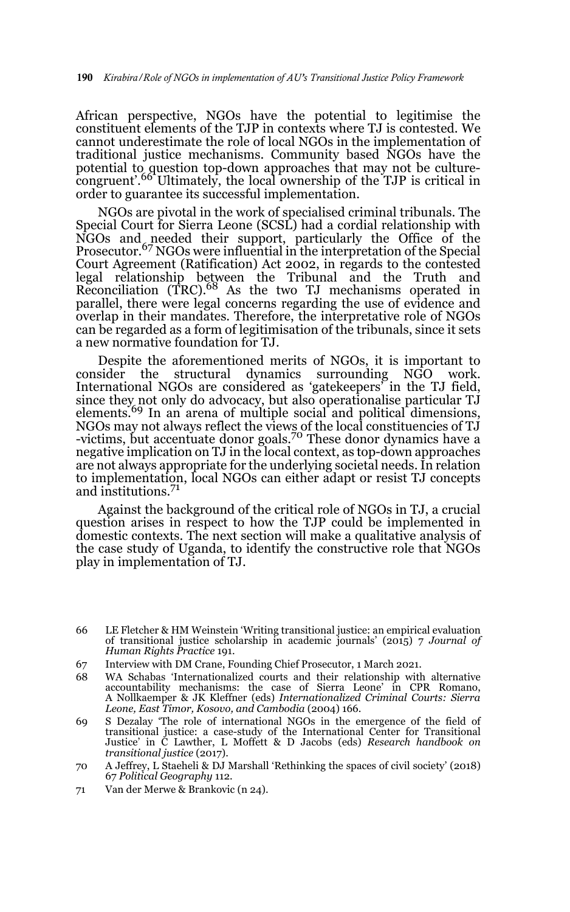African perspective, NGOs have the potential to legitimise the constituent elements of the TJP in contexts where TJ is contested. We cannot underestimate the role of local NGOs in the implementation of traditional justice mechanisms. Community based NGOs have the potential to question top-down approaches that may not be culture-congruent'.66 Ultimately, the local ownership of the TJP is critical in order to guarantee its successful implementation.

NGOs are pivotal in the work of specialised criminal tribunals. The Special Court for Sierra Leone (SCSL) had a cordial relationship with NGOs and needed their support, particularly the Office of the Prosecutor.<sup>67</sup> NGOs were influential in the interpretation of the Special Court Agreement (Ratification) Act 2002, in regards to the contested legal relationship between the Tribunal and the Truth and Reconciliation (TRC).<sup>68</sup> As the two TJ mechanisms operated in parallel, there were legal concerns regarding the use of evidence and overlap in their mandates. Therefore, the interpretative role of NGOs can be regarded as a form of legitimisation of the tribunals, since it sets a new normative foundation for TJ.

Despite the aforementioned merits of NGOs, it is important to consider the structural dynamics surrounding NGO work. International NGOs are considered as 'gatekeepers' in the TJ field, since they not only do advocacy, but also operationalise particular TJ elements.<sup>69</sup> In an arena of multiple social and political dimensions, NGOs may not always reflect the views of the local constituencies of TJ<br>-victims, but accentuate donor goals.<sup>70</sup> These donor dynamics have a negative implication on TJ in the local context, as top-down approaches are not always appropriate for the underlying societal needs. In relation to implementation, local NGOs can either adapt or resist TJ concepts and institutions.71

Against the background of the critical role of NGOs in TJ, a crucial question arises in respect to how the TJP could be implemented in domestic contexts. The next section will make a qualitative analysis of the case study of Uganda, to identify the constructive role that NGOs play in implementation of TJ.

71 Van der Merwe & Brankovic (n 24).

<sup>66</sup> LE Fletcher & HM Weinstein 'Writing transitional justice: an empirical evaluation of transitional justice scholarship in academic journals' (2015) 7 *Journal of Human Rights Practice* 191.

<sup>67</sup> Interview with DM Crane, Founding Chief Prosecutor, 1 March 2021.

<sup>68</sup> WA Schabas 'Internationalized courts and their relationship with alternative accountability mechanisms: the case of Sierra Leone' in CPR Romano, A Nollkaemper & JK Kleffner (eds) *Internationalized Criminal Courts: Sierra Leone, East Timor, Kosovo, and Cambodia* (2004) 166.

<sup>69</sup> S Dezalay 'The role of international NGOs in the emergence of the field of transitional justice: a case-study of the International Center for Transitional Justice' in C Lawther, L Moffett & D Jacobs (eds) *Research handbook on transitional justice* (2017).

<sup>70</sup> A Jeffrey, L Staeheli & DJ Marshall 'Rethinking the spaces of civil society' (2018) 67 *Political Geography* 112.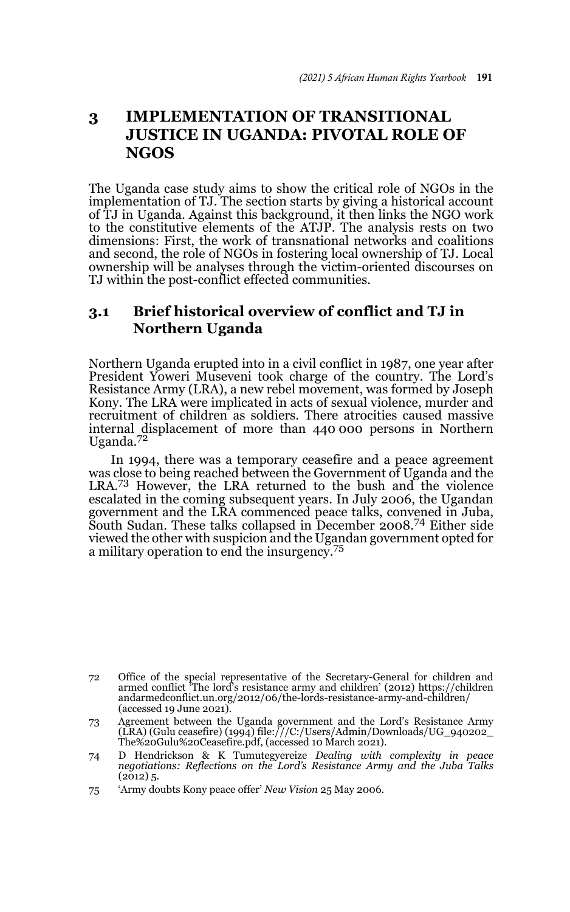# **3 IMPLEMENTATION OF TRANSITIONAL JUSTICE IN UGANDA: PIVOTAL ROLE OF NGOS**

The Uganda case study aims to show the critical role of NGOs in the implementation of TJ. The section starts by giving a historical account of TJ in Uganda. Against this background, it then links the NGO work to the constitutive elements of the ATJP. The analysis rests on two dimensions: First, the work of transnational networks and coalitions and second, the role of NGOs in fostering local ownership of TJ. Local ownership will be analyses through the victim-oriented discourses on TJ within the post-conflict effected communities.

# **3.1 Brief historical overview of conflict and TJ in Northern Uganda**

Northern Uganda erupted into in a civil conflict in 1987, one year after President Yoweri Museveni took charge of the country. The Lord's Resistance Army (LRA), a new rebel movement, was formed by Joseph Kony. The LRA were implicated in acts of sexual violence, murder and recruitment of children as soldiers. There atrocities caused massive internal displacement of more than 440 000 persons in Northern Uganda.<sup>72</sup>

In 1994, there was a temporary ceasefire and a peace agreement was close to being reached between the Government of Uganda and the LRA.73 However, the LRA returned to the bush and the violence escalated in the coming subsequent years. In July 2006, the Ugandan government and the LRA commenced peace talks, convened in Juba, South Sudan. These talks collapsed in December 2008.74 Either side viewed the other with suspicion and the Ugandan government opted for a military operation to end the insurgency.<sup>75</sup>

<sup>72</sup> Office of the special representative of the Secretary-General for children and armed conflict 'The lord's resistance army and children' (2012) https://children andarmedconflict.un.org/2012/06/the-lords-resistance-army-and-children/ (accessed 19 June 2021).

<sup>73</sup> Agreement between the Uganda government and the Lord's Resistance Army (LRA) (Gulu ceasefire) (1994) file:///C:/Users/Admin/Downloads/UG\_940202\_ The%20Gulu%20Ceasefire.pdf, (accessed 10 March 2021).

<sup>74</sup> D Hendrickson & K Tumutegyereize *Dealing with complexity in peace negotiations: Reflections on the Lord's Resistance Army and the Juba Talks*  $(2012)$  5.

<sup>75 &#</sup>x27;Army doubts Kony peace offer' *New Vision* 25 May 2006.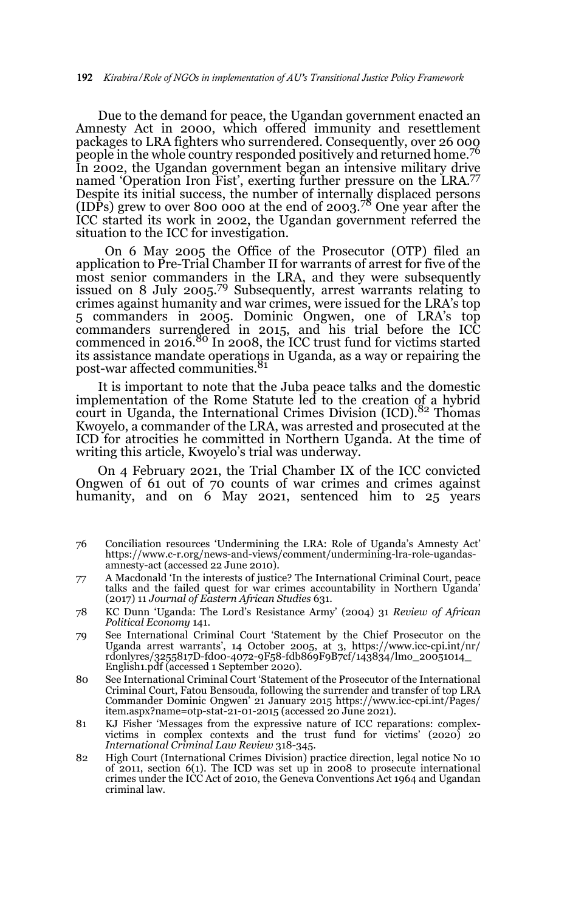Due to the demand for peace, the Ugandan government enacted an Amnesty Act in 2000, which offered immunity and resettlement packages to LRA fighters who surrendered. Consequently, over 26 000 people in the whole country responded positively and returned home.<sup>76</sup> In 2002, the Ugandan government began an intensive military drive named 'Operation Iron Fist', exerting further pressure on the LRA.<sup>77</sup> Despite its initial success, the number of internally displaced persons (IDPs) grew to over 800 000 at the end of 2003.78 One year after the ICC started its work in 2002, the Ugandan government referred the situation to the ICC for investigation.

 On 6 May 2005 the Office of the Prosecutor (OTP) filed an application to Pre-Trial Chamber II for warrants of arrest for five of the most senior commanders in the LRA, and they were subsequently issued on 8 July 2005.79 Subsequently, arrest warrants relating to crimes against humanity and war crimes, were issued for the LRA's top 5 commanders in 2005. Dominic Ongwen, one of LRA's top commanders surrendered in 2015, and his trial before the ICC commenced in 2016.<sup>80</sup> In 2008, the ICC trust fund for victims started its assistance mandate operations in Uganda, as a way or repairing the post-war affected communities.<sup>81</sup>

It is important to note that the Juba peace talks and the domestic implementation of the Rome Statute led to the creation of a hybrid court in Uganda, the International Crimes Division (ICD).<sup>82</sup> Thomas Kwoyelo, a commander of the LRA, was arrested and prosecuted at the ICD for atrocities he committed in Northern Uganda. At the time of writing this article, Kwoyelo's trial was underway.

On 4 February 2021, the Trial Chamber IX of the ICC convicted Ongwen of 61 out of 70 counts of war crimes and crimes against humanity, and on  $6$  May 2021, sentenced him to 25 years

- 76 Conciliation resources 'Undermining the LRA: Role of Uganda's Amnesty Act' https://www.c-r.org/news-and-views/comment/undermining-lra-role-ugandasamnesty-act (accessed 22 June 2010).
- 77 A Macdonald 'In the interests of justice? The International Criminal Court, peace talks and the failed quest for war crimes accountability in Northern Uganda' (2017) 11 *Journal of Eastern African Studies* 631.
- 78 KC Dunn 'Uganda: The Lord's Resistance Army' (2004) 31 *Review of African Political Economy* 141.
- 79 See International Criminal Court 'Statement by the Chief Prosecutor on the Uganda arrest warrants', 14 October 2005, at 3, https://www.icc-cpi.int/nr/ rdonlyres/3255817D-fd00-4072-9F58-fdb869F9B7cf/143834/lmo\_20051014\_ English1.pdf (accessed 1 September 2020).
- 80 See International Criminal Court 'Statement of the Prosecutor of the International Criminal Court, Fatou Bensouda, following the surrender and transfer of top LRA Commander Dominic Ongwen' 21 January 2015 https://www.icc-cpi.int/Pages/ item.aspx?name=otp-stat-21-01-2015 (accessed 20 June 2021).
- 81 KJ Fisher 'Messages from the expressive nature of ICC reparations: complexvictims in complex contexts and the trust fund for victims' (2020) 20 *International Criminal Law Review* 318-345.
- 82 High Court (International Crimes Division) practice direction, legal notice No 10 of 2011, section 6(1). The ICD was set up in 2008 to prosecute international crimes under the ICC Act of 2010, the Geneva Conventions Act 1964 and Ugandan criminal law.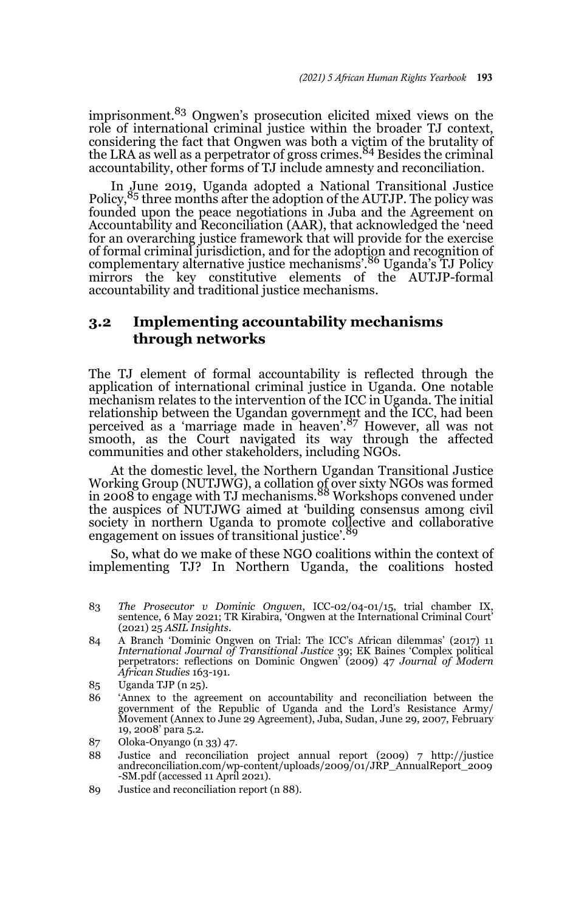imprisonment.83 Ongwen's prosecution elicited mixed views on the role of international criminal justice within the broader TJ context, considering the fact that Ongwen was both a victim of the brutality of<br>the LRA as well as a perpetrator of gross crimes.<sup>84</sup> Besides the criminal accountability, other forms of TJ include amnesty and reconciliation.

In June 2019, Uganda adopted a National Transitional Justice<br>Policy, <sup>85</sup> three months after the adoption of the AUTJP. The policy was founded upon the peace negotiations in Juba and the Agreement on Accountability and Reconciliation (AAR), that acknowledged the 'need for an overarching justice framework that will provide for the exercise of formal criminal jurisdiction, and for the adoption and recognition of<br>complementary alternative justice mechanisms'.<sup>86</sup> Uganda's TJ Policy mirrors the key constitutive elements of the AUTJP-formal accountability and traditional justice mechanisms.

### **3.2 Implementing accountability mechanisms through networks**

The TJ element of formal accountability is reflected through the application of international criminal justice in Uganda. One notable mechanism relates to the intervention of the ICC in Uganda. The initial relationship between the Ugandan government and the ICC, had been perceived as a 'marriage made in heaven'.87 However, all was not smooth, as the Court navigated its way through the affected communities and other stakeholders, including NGOs.

At the domestic level, the Northern Ugandan Transitional Justice Working Group (NUTJWG), a collation of over sixty NGOs was formed<br>in 2008 to engage with TJ mechanisms.<sup>88</sup> Workshops convened under the auspices of NUTJWG aimed at 'building consensus among civil society in northern Uganda to promote collective and collaborative engagement on issues of transitional justice'.<sup>89</sup>

So, what do we make of these NGO coalitions within the context of implementing TJ? In Northern Uganda, the coalitions hosted

- 83 *The Prosecutor v Dominic Ongwen*, ICC-02/04-01/15, trial chamber IX, sentence, 6 May 2021; TR Kirabira, 'Ongwen at the International Criminal Court' (2021) 25 *ASIL Insights*.
- 84 A Branch 'Dominic Ongwen on Trial: The ICC's African dilemmas' (2017) 11 *International Journal of Transitional Justice* 39; EK Baines 'Complex political perpetrators: reflections on Dominic Ongwen' (2009) 47 *Journal of Modern African Studies* 163-191.
- 85 Uganda TJP (n 25).
- 86 'Annex to the agreement on accountability and reconciliation between the government of the Republic of Uganda and the Lord's Resistance Army/ Movement (Annex to June 29 Agreement), Juba, Sudan, June 29, 2007, February 19, 2008' para 5.2.
- 87 Oloka-Onyango (n 33) 47.
- 88 Justice and reconciliation project annual report (2009) 7 http://justice andreconciliation.com/wp-content/uploads/2009/01/JRP\_AnnualReport\_2009 -SM.pdf (accessed 11 April 2021).
- 89 Justice and reconciliation report (n 88).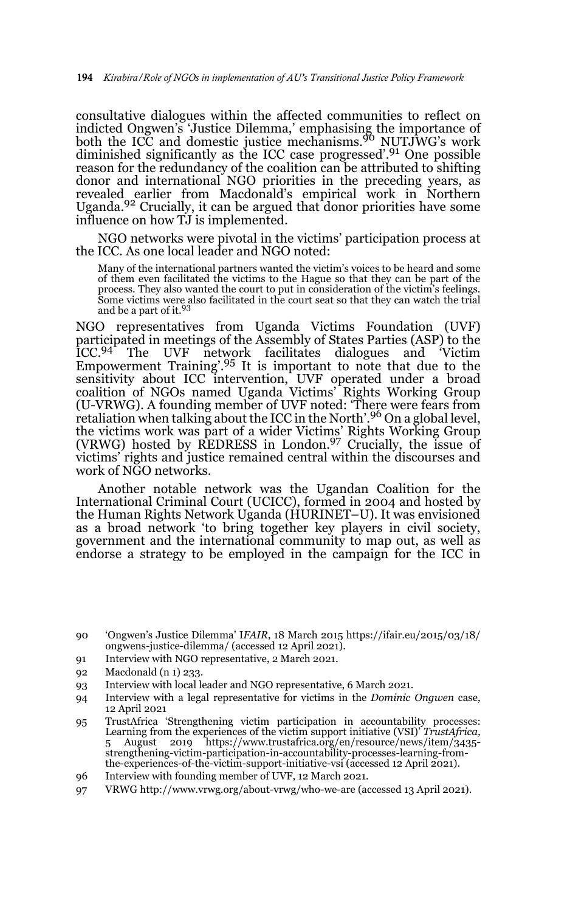consultative dialogues within the affected communities to reflect on indicted Ongwen's 'Justice Dilemma,' emphasising the importance of both the ICC and domestic justice mechanisms.90 NUTJWG's work diminished significantly as the ICC case progressed'.91 One possible reason for the redundancy of the coalition can be attributed to shifting donor and international NGO priorities in the preceding years, as revealed earlier from Macdonald's empirical work in Northern Uganda.92 Crucially, it can be argued that donor priorities have some influence on how TJ is implemented.

NGO networks were pivotal in the victims' participation process at the ICC. As one local leader and NGO noted:

Many of the international partners wanted the victim's voices to be heard and some of them even facilitated the victims to the Hague so that they can be part of the process. They also wanted the court to put in consideration of the victim's feelings. Some victims were also facilitated in the court seat so that they can watch the trial and be a part of it.<sup>93</sup>

NGO representatives from Uganda Victims Foundation (UVF) participated in meetings of the Assembly of States Parties (ASP) to the ICC.<sup>94</sup> The UVF network facilitates dialogues and Victim ICC.<sup>94</sup> The UVF network facilitates dialogues and Empowerment Training'.95 It is important to note that due to the sensitivity about ICC intervention, UVF operated under a broad coalition of NGOs named Uganda Victims' Rights Working Group (U-VRWG). A founding member of UVF noted: 'There were fears from retaliation when talking about the ICC in the North'.<sup>96</sup> On a global level, the victims work was part of a wider Victims' Rights Working Group (VRWG) hosted by REDRESS in London.97 Crucially, the issue of victims' rights and justice remained central within the discourses and work of NGO networks.

Another notable network was the Ugandan Coalition for the International Criminal Court (UCICC), formed in 2004 and hosted by the Human Rights Network Uganda (HURINET–U). It was envisioned as a broad network 'to bring together key players in civil society, government and the international community to map out, as well as endorse a strategy to be employed in the campaign for the ICC in

- 91 Interview with NGO representative, 2 March 2021.
- 92 Macdonald (n 1) 233.
- 93 Interview with local leader and NGO representative, 6 March 2021.
- 94 Interview with a legal representative for victims in the *Dominic Ongwen* case, 12 April 2021
- 95 TrustAfrica 'Strengthening victim participation in accountability processes: Learning from the experiences of the victim support initiative (VSI)' *TrustAfrica,* August 2019 https://www.trustafrica.org/en/resource/news/item/3435strengthening-victim-participation-in-accountability-processes-learning-fromthe-experiences-of-the-victim-support-initiative-vsi (accessed 12 April 2021).
- 96 Interview with founding member of UVF, 12 March 2021.
- 97 VRWG http://www.vrwg.org/about-vrwg/who-we-are (accessed 13 April 2021).

<sup>90 &#</sup>x27;Ongwen's Justice Dilemma' I*FAIR*, 18 March 2015 https://ifair.eu/2015/03/18/ ongwens-justice-dilemma/ (accessed 12 April 2021).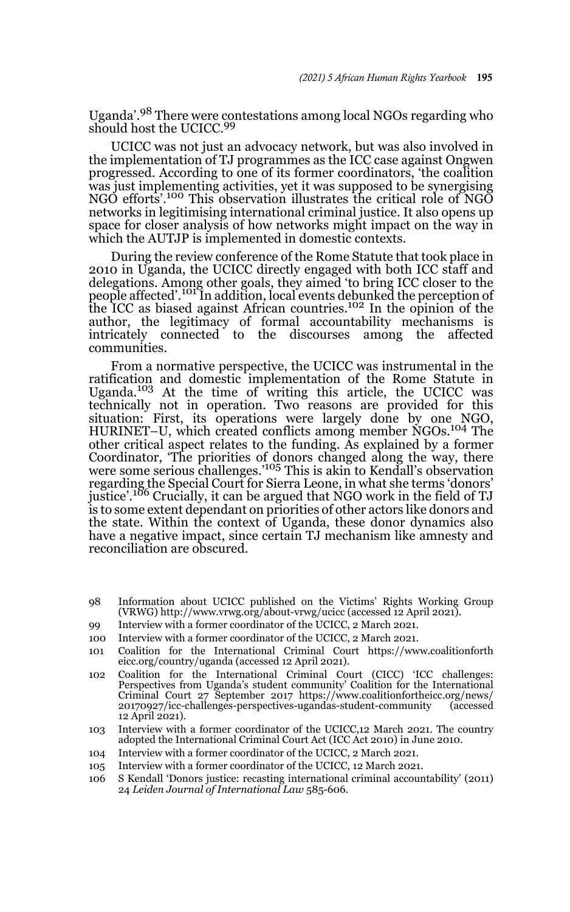Uganda'.98 There were contestations among local NGOs regarding who should host the UCICC.<sup>99</sup>

UCICC was not just an advocacy network, but was also involved in the implementation of TJ programmes as the ICC case against Ongwen progressed. According to one of its former coordinators, 'the coalition was just implementing activities, yet it was supposed to be synergising NGO efforts'.100 This observation illustrates the critical role of NGO networks in legitimising international criminal justice. It also opens up space for closer analysis of how networks might impact on the way in which the AUTJP is implemented in domestic contexts.

During the review conference of the Rome Statute that took place in 2010 in Uganda, the UCICC directly engaged with both ICC staff and delegations. Among other goals, they aimed 'to bring ICC closer to the people affected'.101 In addition, local events debunked the perception of the ICC as biased against African countries.102 In the opinion of the author, the legitimacy of formal accountability mechanisms is intricately connected to the discourses among the affected communities.

From a normative perspective, the UCICC was instrumental in the ratification and domestic implementation of the Rome Statute in Uganda.<sup>103</sup> At the time of writing this article, the UCICC was technically not in operation. Two reasons are provided for this situation: First, its operations were largely done by one NGO,<br>HURINET–U, which created conflicts among member NGOs.<sup>104</sup> The other critical aspect relates to the funding. As explained by a former Coordinator, 'The priorities of donors changed along the way, there were some serious challenges.'105 This is akin to Kendall's observation regarding the Special Court for Sierra Leone, in what she terms 'donors' justice'.<sup>106</sup> Crucially, it can be argued that NGO work in the field of TJ is to some extent dependant on priorities of other actors like donors and the state. Within the context of Uganda, these donor dynamics also have a negative impact, since certain TJ mechanism like amnesty and reconciliation are obscured.

- 98 Information about UCICC published on the Victims' Rights Working Group (VRWG) http://www.vrwg.org/about-vrwg/ucicc (accessed 12 April 2021).
- 99 Interview with a former coordinator of the UCICC, 2 March 2021.
- 100 Interview with a former coordinator of the UCICC, 2 March 2021.
- 101 Coalition for the International Criminal Court https://www.coalitionforth eicc.org/country/uganda (accessed 12 April 2021).
- 102 Coalition for the International Criminal Court (CICC) 'ICC challenges: Perspectives from Uganda's student community' Coalition for the International Criminal Court 27 September 2017 https://www.coalitionfortheicc.org/news/ 20170927/icc-challenges-perspectives-ugandas-student-community (accessed 12 April 2021).
- 103 Interview with a former coordinator of the UCICC,12 March 2021. The country adopted the International Criminal Court Act (ICC Act 2010) in June 2010.
- 104 Interview with a former coordinator of the UCICC, 2 March 2021.
- 105 Interview with a former coordinator of the UCICC, 12 March 2021.
- 106 S Kendall 'Donors justice: recasting international criminal accountability' (2011) 24 *Leiden Journal of International Law* 585-606.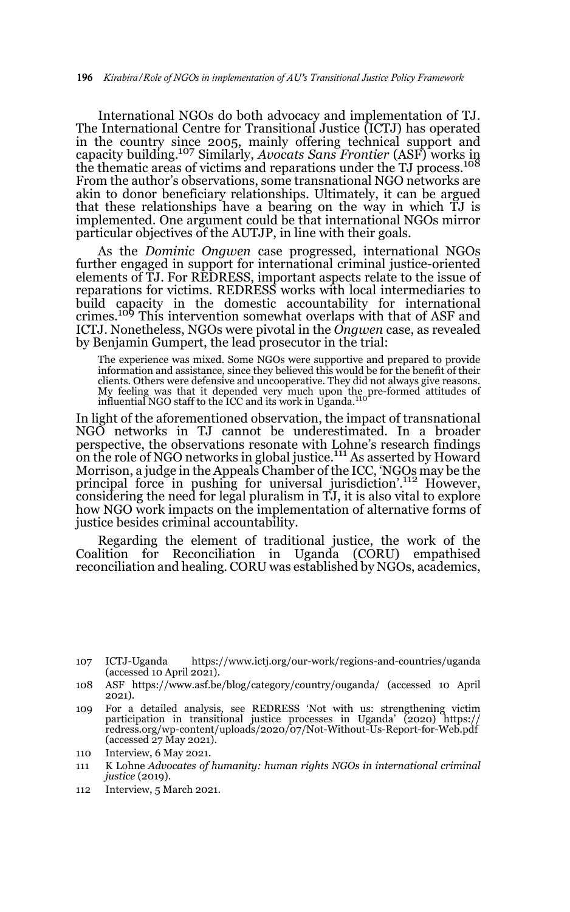International NGOs do both advocacy and implementation of TJ. The International Centre for Transitional Justice (ICTJ) has operated in the country since 2005, mainly offering technical support and capacity building.107 Similarly, *Avocats Sans Frontier* (ASF) works in the thematic areas of victims and reparations under the TJ process.<sup>108</sup> From the author's observations, some transnational NGO networks are akin to donor beneficiary relationships. Ultimately, it can be argued that these relationships have a bearing on the way in which TJ is implemented. One argument could be that international NGOs mirror particular objectives of the AUTJP, in line with their goals.

As the *Dominic Ongwen* case progressed, international NGOs further engaged in support for international criminal justice-oriented elements of TJ. For REDRESS, important aspects relate to the issue of reparations for victims. REDRESS works with local intermediaries to build capacity in the domestic accountability for international crimes.<sup>109</sup> This intervention somewhat overlaps with that of ASF and ICTJ. Nonetheless, NGOs were pivotal in the *Ongwen* case, as revealed by Benjamin Gumpert, the lead prosecutor in the trial:

The experience was mixed. Some NGOs were supportive and prepared to provide information and assistance, since they believed this would be for the benefit of their clients. Others were defensive and uncooperative. They did not always give reasons. My feeling was that it depended very much upon the pre-formed attitudes of influential NGO staff to the ICC and its work in Uganda.<sup>110</sup>

In light of the aforementioned observation, the impact of transnational NGO networks in TJ cannot be underestimated. In a broader perspective, the observations resonate with Lohne's research findings on the role of NGO networks in global justice.<sup>111</sup> As asserted by Howard Morrison, a judge in the Appeals Chamber of the ICC, 'NGOs may be the principal force in pushing for universal jurisdiction'.<sup>112</sup> However, considering the need for legal pluralism in TJ, it is also vital to explore how NGO work impacts on the implementation of alternative forms of justice besides criminal accountability.

Regarding the element of traditional justice, the work of the Coalition for Reconciliation in Uganda (CORU) empathised reconciliation and healing. CORU was established by NGOs, academics,

- 109 For a detailed analysis, see REDRESS 'Not with us: strengthening victim participation in transitional justice processes in Uganda' (2020) https:// redress.org/wp-content/uploads/2020/07/Not-Without-Us-Report-for-Web.pdf (accessed 27 May 2021).
- 110 Interview, 6 May 2021.
- 111 K Lohne *Advocates of humanity: human rights NGOs in international criminal justice* (2019).
- 112 Interview, 5 March 2021.

<sup>107</sup> ICTJ-Uganda https://www.ictj.org/our-work/regions-and-countries/uganda  $(\text{accessed 10 April } 2021).$ 

<sup>108</sup> ASF https://www.asf.be/blog/category/country/ouganda/ (accessed 10 April 2021).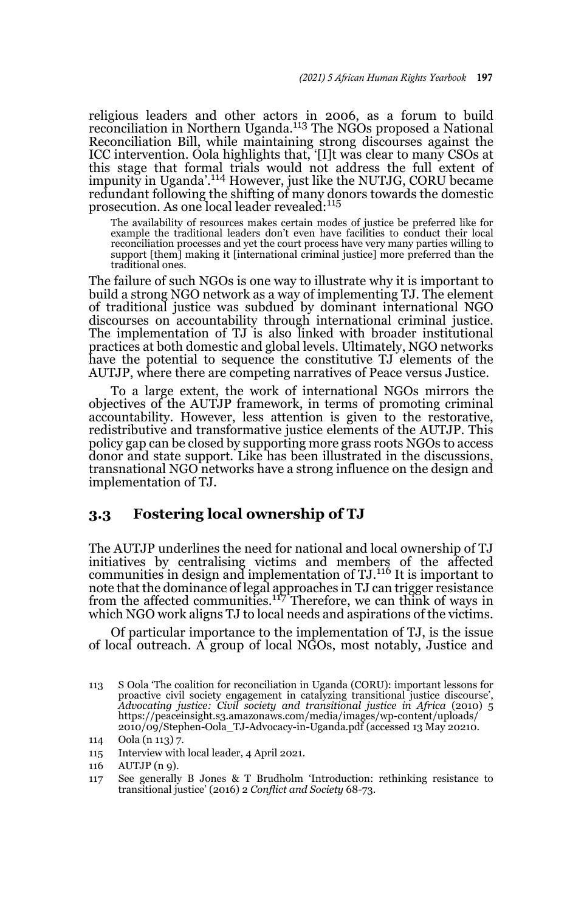religious leaders and other actors in 2006, as a forum to build<br>reconciliation in Northern Uganda.<sup>113</sup> The NGOs proposed a National Reconciliation Bill, while maintaining strong discourses against the ICC intervention. Oola highlights that, '[I]t was clear to many CSOs at this stage that formal trials would not address the full extent of impunity in Uganda'.114 However, just like the NUTJG, CORU became redundant following the shifting of many donors towards the domestic<br>prosecution. As one local leader revealed:<sup>115</sup>

The availability of resources makes certain modes of justice be preferred like for example the traditional leaders don't even have facilities to conduct their local reconciliation processes and yet the court process have very many parties willing to support [them] making it [international criminal justice] more preferred than the traditional ones.

The failure of such NGOs is one way to illustrate why it is important to build a strong NGO network as a way of implementing TJ. The element of traditional justice was subdued by dominant international NGO discourses on accountability through international criminal justice. The implementation of TJ is also linked with broader institutional practices at both domestic and global levels. Ultimately, NGO networks have the potential to sequence the constitutive TJ elements of the AUTJP, where there are competing narratives of Peace versus Justice.

To a large extent, the work of international NGOs mirrors the objectives of the AUTJP framework, in terms of promoting criminal accountability. However, less attention is given to the restorative, redistributive and transformative justice elements of the AUTJP. This policy gap can be closed by supporting more grass roots NGOs to access donor and state support. Like has been illustrated in the discussions, transnational NGO networks have a strong influence on the design and implementation of TJ.

#### **3.3 Fostering local ownership of TJ**

The AUTJP underlines the need for national and local ownership of TJ initiatives by centralising victims and members of the affected communities in design and implementation of TJ.116 It is important to note that the dominance of legal approaches in TJ can trigger resistance from the affected communities.117 Therefore, we can think of ways in which NGO work aligns TJ to local needs and aspirations of the victims.

Of particular importance to the implementation of TJ, is the issue of local outreach. A group of local NGOs, most notably, Justice and

<sup>113</sup> S Oola 'The coalition for reconciliation in Uganda (CORU): important lessons for proactive civil society engagement in catalyzing transitional justice discourse', *Advocating justice: Civil society and transitional justice in Africa* (2010) 5 https://peaceinsight.s3.amazonaws.com/media/images/wp-content/uploads/ 2010/09/Stephen-Oola\_TJ-Advocacy-in-Uganda.pdf (accessed 13 May 20210.

<sup>114</sup> Oola (n 113) 7.

<sup>115</sup> Interview with local leader, 4 April 2021.

<sup>116</sup> AUTJP (n 9).

<sup>117</sup> See generally B Jones & T Brudholm 'Introduction: rethinking resistance to transitional justice' (2016) 2 *Conflict and Society* 68-73.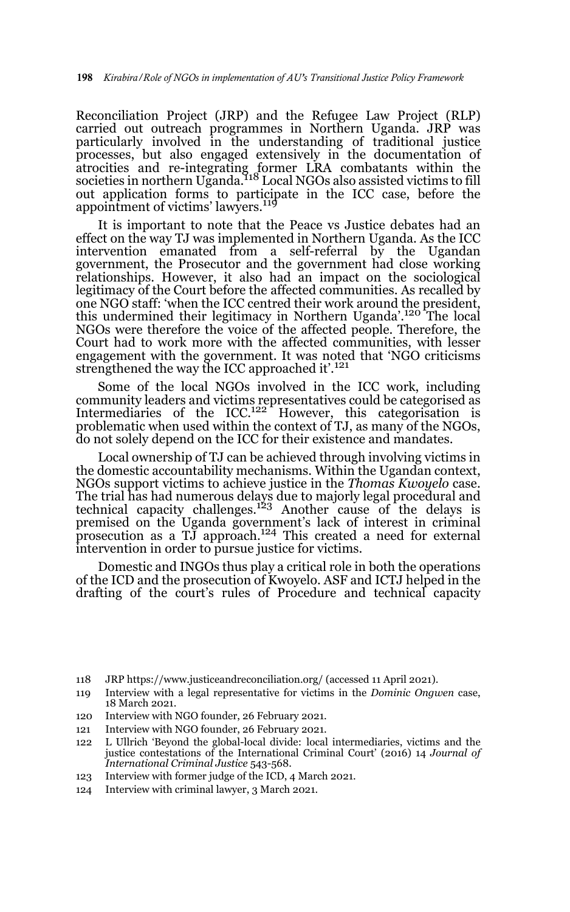Reconciliation Project (JRP) and the Refugee Law Project (RLP) carried out outreach programmes in Northern Uganda. JRP was particularly involved in the understanding of traditional justice processes, but also engaged extensively in the documentation of atrocities and re-integrating former LRA combatants within the<br>societies in northern Uganda.<sup>118</sup> Local NGOs also assisted victims to fill out application forms to participate in the ICC case, before the appointment of victims' lawyers.<sup>119</sup>

It is important to note that the Peace vs Justice debates had an effect on the way TJ was implemented in Northern Uganda. As the ICC intervention emanated from a self-referral by the Ugandan government, the Prosecutor and the government had close working relationships. However, it also had an impact on the sociological legitimacy of the Court before the affected communities. As recalled by one NGO staff: 'when the ICC centred their work around the president, this undermined their legitimacy in Northern Uganda'.120 The local NGOs were therefore the voice of the affected people. Therefore, the Court had to work more with the affected communities, with lesser engagement with the government. It was noted that 'NGO criticisms strengthened the way the ICC approached it'.<sup>121</sup>

Some of the local NGOs involved in the ICC work, including community leaders and victims representatives could be categorised as Intermediaries of the ICC.<sup>122</sup> However, this categorisation is problematic when used within the context of TJ, as many of the NGOs, do not solely depend on the ICC for their existence and mandates.

Local ownership of TJ can be achieved through involving victims in the domestic accountability mechanisms. Within the Ugandan context, NGOs support victims to achieve justice in the *Thomas Kwoyelo* case. The trial has had numerous delays due to majorly legal procedural and<br>technical capacity challenges.<sup>123</sup> Another cause of the delays is premised on the Uganda government's lack of interest in criminal<br>prosecution as a TJ approach.<sup>124</sup> This created a need for external intervention in order to pursue justice for victims.

Domestic and INGOs thus play a critical role in both the operations of the ICD and the prosecution of Kwoyelo. ASF and ICTJ helped in the drafting of the court's rules of Procedure and technical capacity

- 118 JRP https://www.justiceandreconciliation.org/ (accessed 11 April 2021).
- 119 Interview with a legal representative for victims in the *Dominic Ongwen* case, 18 March 2021.
- 120 Interview with NGO founder, 26 February 2021.
- 121 Interview with NGO founder, 26 February 2021.
- 122 L Ullrich 'Beyond the global-local divide: local intermediaries, victims and the justice contestations of the International Criminal Court' (2016) 14 *Journal of International Criminal Justice* 543-568.
- 123 Interview with former judge of the ICD, 4 March 2021.
- 124 Interview with criminal lawyer, 3 March 2021.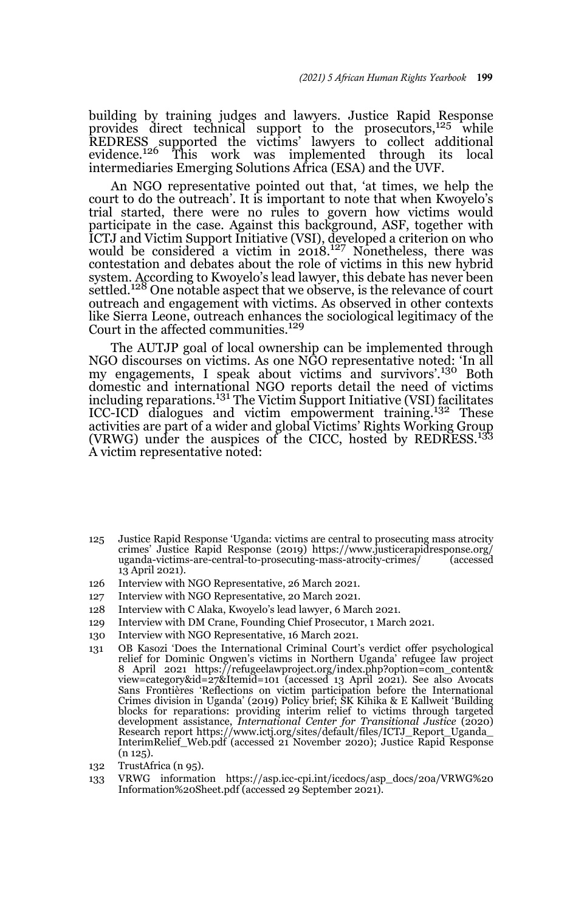building by training judges and lawyers. Justice Rapid Response provides direct technical support to the prosecutors, $125$  while REDRESS supported the victims' lawyers to collect additional evidence.<sup>126</sup> This work was implemented through its local intermediaries Emerging Solutions Africa (ESA) and the UVF.

An NGO representative pointed out that, 'at times, we help the court to do the outreach'. It is important to note that when Kwoyelo's trial started, there were no rules to govern how victims would participate in the case. Against this background, ASF, together with ICTJ and Victim Support Initiative (VSI), developed a criterion on who would be considered a victim in 2018.127 Nonetheless, there was contestation and debates about the role of victims in this new hybrid system. According to Kwoyelo's lead lawyer, this debate has never been settled.<sup>128</sup> One notable aspect that we observe, is the relevance of court outreach and engagement with victims. As observed in other contexts like Sierra Leone, outreach enhances the sociological legitimacy of the Court in the affected communities.<sup>129</sup>

The AUTJP goal of local ownership can be implemented through NGO discourses on victims. As one NGO representative noted: 'In all my engagements, I speak about victims and survivors'.130 Both domestic and international NGO reports detail the need of victims including reparations.<sup>131</sup> The Victim Support Initiative (VSI) facilitates ICC-ICD dialogues and victim empowerment training.132 These activities are part of a wider and global Victims' Rights Working Group (VRWG) under the auspices of the CICC, hosted by REDRESS.<sup>133</sup> A victim representative noted:

- 125 Justice Rapid Response 'Uganda: victims are central to prosecuting mass atrocity crimes' Justice Rapid Response (2019) https://www.justicerapidresponse.org/ uganda-victims-are-central-to-prosecuting-mass-atrocity-crimes/ 13 April 2021).
- 126 Interview with NGO Representative, 26 March 2021.
- 127 Interview with NGO Representative, 20 March 2021.
- 128 Interview with C Alaka, Kwoyelo's lead lawyer, 6 March 2021.
- 129 Interview with DM Crane, Founding Chief Prosecutor, 1 March 2021.
- 130 Interview with NGO Representative, 16 March 2021.
- 131 OB Kasozi 'Does the International Criminal Court's verdict offer psychological relief for Dominic Ongwen's victims in Northern Uganda' refugee law project 8 April 2021 https://refugeelawproject.org/index.php?option=com\_content& view=category&id=27&Itemid=101 (accessed 13 April 2021). See also Avocats<br>Sans Frontières 'Reflections on victim participation before the International<br>Crimes division in Uganda' (2019) Policy brief; SK Kihika & E Kallweit blocks for reparations: providing interim relief to victims through targeted development assistance, *International Center for Transitional Justice* (2020) Research report https://www.ictj.org/sites/default/files/ICTJ\_Report\_Uganda\_ InterimRelief\_Web.pdf (accessed 21 November 2020); Justice Rapid Response (n 125).
- 132 TrustAfrica (n 95).
- 133 VRWG information https://asp.icc-cpi.int/iccdocs/asp\_docs/20a/VRWG%20 Information%20Sheet.pdf (accessed 29 September 2021).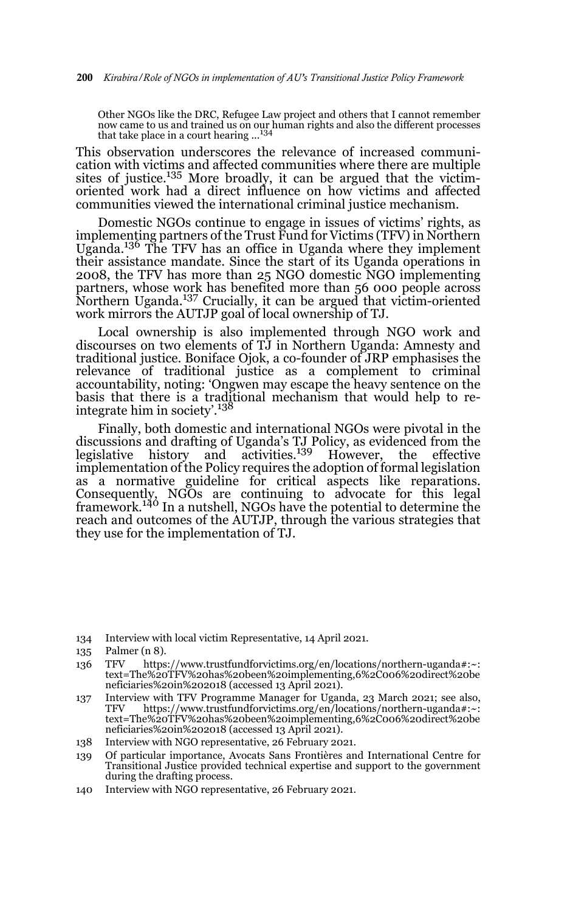Other NGOs like the DRC, Refugee Law project and others that I cannot remember now came to us and trained us on our human rights and also the different processes that take place in a court hearing ...<sup>134</sup>

This observation underscores the relevance of increased communication with victims and affected communities where there are multiple sites of justice. $135$  More broadly, it can be argued that the victimoriented work had a direct influence on how victims and affected communities viewed the international criminal justice mechanism.

Domestic NGOs continue to engage in issues of victims' rights, as implementing partners of the Trust Fund for Victims (TFV) in Northern Uganda.<sup>136</sup> The TFV has an office in Uganda where they implement their assistance mandate. Since the start of its Uganda operations in 2008, the TFV has more than 25 NGO domestic NGO implementing partners, whose work has benefited more than 56 000 people across Partners, Whose With the american term of the argued that victim-oriented work mirrors the AUTJP goal of local ownership of TJ.

Local ownership is also implemented through NGO work and discourses on two elements of TJ in Northern Uganda: Amnesty and traditional justice. Boniface Ojok, a co-founder of JRP emphasises the relevance of traditional justice as a complement to criminal accountability, noting: 'Ongwen may escape the heavy sentence on the basis that there is a traditional mechanism that would help to reintegrate him in society'.138

Finally, both domestic and international NGOs were pivotal in the discussions and drafting of Uganda's TJ Policy, as evidenced from the legislative history and activities. $139$  However, the effective implementation of the Policy requires the adoption of formal legislation as a normative guideline for critical aspects like reparations. Consequently, NGOs are continuing to advocate for this legal framework.140 In a nutshell, NGOs have the potential to determine the reach and outcomes of the AUTJP, through the various strategies that they use for the implementation of TJ.

- 137 Interview with TFV Programme Manager for Uganda, 23 March 2021; see also, TFV https://www.trustfundforvictims.org/en/locations/northern-uganda#:~: text=The%20TFV%20has%20been%20implementing,6%2C006%20direct%20be neficiaries%20in%202018 (accessed 13 April 2021).
- 138 Interview with NGO representative, 26 February 2021.
- 139 Of particular importance, Avocats Sans Frontières and International Centre for Transitional Justice provided technical expertise and support to the government during the drafting process.
- 140 Interview with NGO representative, 26 February 2021.

<sup>134</sup> Interview with local victim Representative, 14 April 2021.

<sup>135</sup> Palmer (n 8).

<sup>136</sup> TFV https://www.trustfundforvictims.org/en/locations/northern-uganda#:~: text=The%20TFV%20has%20been%20implementing,6%2C006%20direct%20be neficiaries%20in%202018 (accessed 13 April 2021).